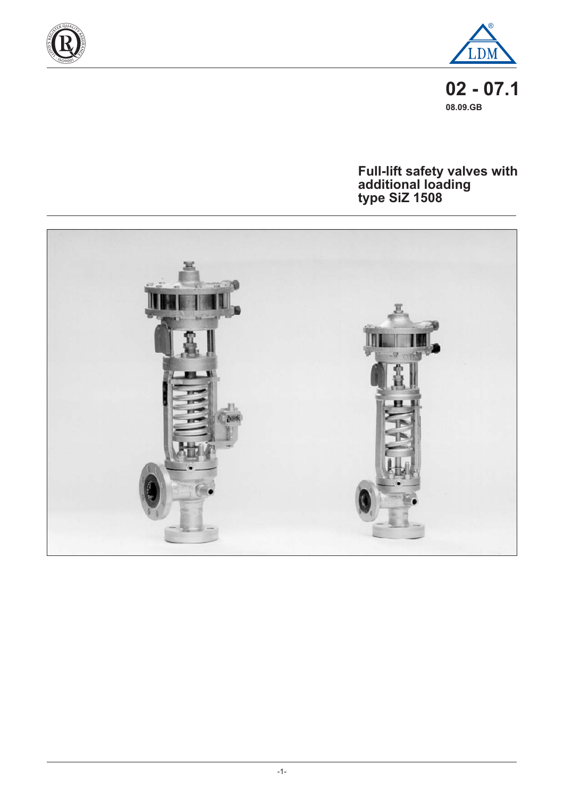



 $02 - 07.1$ 08.09.GB

# Full-lift safety valves with<br>additional loading<br>type SiZ 1508

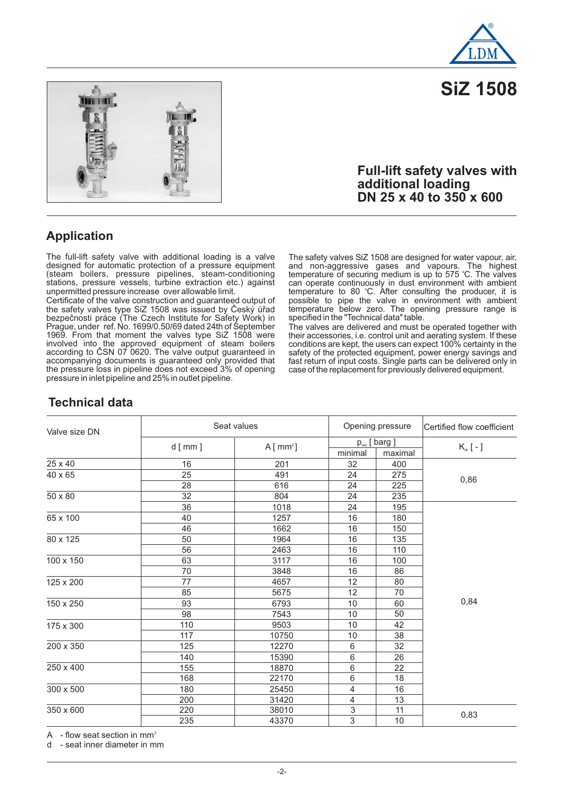

**SiZ 1508**



#### **Full-lift safety valves with additional loading DN 25 x 40 to 350 x 600**

#### **Application**

The full-lift safety valve with additional loading is a valve designed for automatic protection of a pressure equipment (steam boilers, pressure pipelines, steam-conditioning stations, pressure vessels, turbine extraction etc.) against unpermitted pressure increase over allowable limit.

Certificate of the valve construction and guaranteed output of the safety valves type SiZ 1508 was issued by Český úřad bezpečnosti práce (The Czech Institute for Safety Work) in Prague, under ref. No. 1699/0.50/69 dated 24th of September 1969. From that moment the valves type SiZ 1508 were involved into the approved equipment of steam boilers according to ČSN 07 0620. The valve output guaranteed in accompanying documents is guaranteed only provided that the pressure loss in pipeline does not exceed 3% of opening pressure in inlet pipeline and 25% in outlet pipeline.

The safety valves SiZ 1508 are designed for water vapour, air, and non-aggressive gases and vapours. The highest temperature of securing medium is up to 575 °C. The valves can operate continuously in dust environment with ambient temperature to 80 °C. After consulting the producer, it is possible to pipe the valve in environment with ambient temperature below zero. The opening pressure range is specified in the "Technical data" table. o

The valves are delivered and must be operated together with their accessories, i.e. control unit and aerating system. If these conditions are kept, the users can expect 100% certainty in the safety of the protected equipment, power energy savings and fast return of input costs. Single parts can be delivered only in case of the replacement for previously delivered equipment.

#### **Technical data**

| Valve size DN | Seat values |           | Opening pressure | Certified flow coefficient           |                |
|---------------|-------------|-----------|------------------|--------------------------------------|----------------|
|               | $d$ [ mm ]  | $A[mm^2]$ | minimal          | $p_{\text{set}}$ [ barg ]<br>maximal | $K_{dr}$ [ - ] |
| 25 x 40       | 16          | 201       | 32               | 400                                  |                |
| 40 x 65       | 25          | 491       | 24               | 275                                  |                |
|               | 28          | 616       | 24               | 225                                  | 0,86           |
| 50 x 80       | 32          | 804       | 24               | 235                                  |                |
|               | 36          | 1018      | 24               | 195                                  |                |
| 65 x 100      | 40          | 1257      | 16               | 180                                  |                |
|               | 46          | 1662      | 16               | 150                                  |                |
| 80 x 125      | 50          | 1964      | 16               | 135                                  |                |
|               | 56          | 2463      | 16               | 110                                  |                |
| 100 x 150     | 63          | 3117      | 16               | 100                                  |                |
| 125 x 200     | 70          | 3848      | 16               | 86                                   |                |
|               | 77          | 4657      | 12               | 80                                   |                |
|               | 85          | 5675      | 12               | 70                                   |                |
| 150 x 250     | 93          | 6793      | 10               | 60                                   | 0,84           |
|               | 98          | 7543      | 10               | 50                                   |                |
| 175 x 300     | 110         | 9503      | 10               | 42                                   |                |
|               | 117         | 10750     | 10               | 38                                   |                |
| 200 x 350     | 125         | 12270     | 6                | 32                                   |                |
|               | 140         | 15390     | $\,6$            | 26                                   |                |
| 250 x 400     | 155         | 18870     | $\,6$            | 22                                   |                |
|               | 168         | 22170     | 6                | 18                                   |                |
| 300 x 500     | 180         | 25450     | 4                | 16                                   |                |
|               | 200         | 31420     | $\overline{4}$   | 13                                   |                |
| 350 x 600     | 220         | 38010     | 3                | 11                                   | 0,83           |
|               | 235         | 43370     | 3                | $10$                                 |                |

A - flow seat section in mm<sup>2</sup>

d - seat inner diameter in mm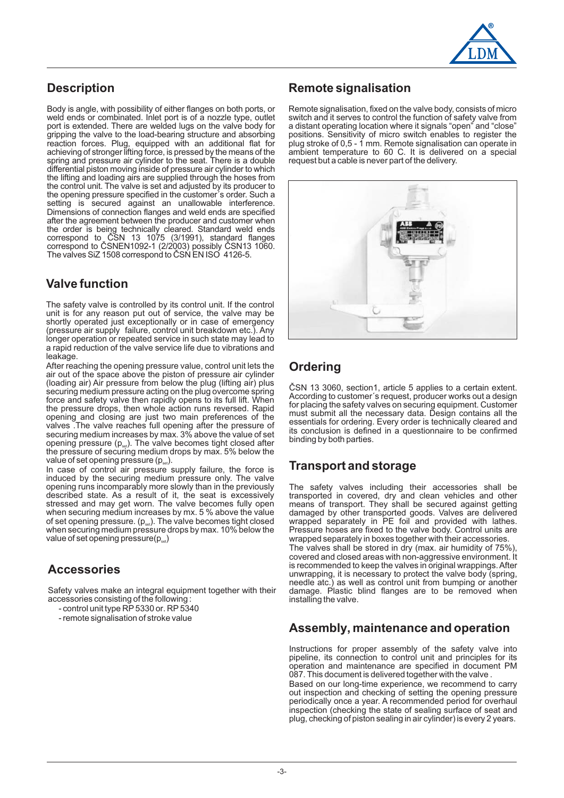

#### **Description**

Body is angle, with possibility of either flanges on both ports, or weld ends or combinated. Inlet port is of a nozzle type, outlet port is extended. There are welded lugs on the valve body for gripping the valve to the load-bearing structure and absorbing reaction forces. Plug, equipped with an additional flat for achieving of stronger lifting force, is pressed by the means of the spring and pressure air cylinder to the seat. There is a double differential piston moving inside of pressure air cylinder to which the lifting and loading airs are supplied through the hoses from the control unit. The valve is set and adjusted by its producer to the opening pressure specified in the customer´s order. Such a setting is secured against an unallowable interference. Dimensions of connection flanges and weld ends are specified after the agreement between the producer and customer when the order is being technically cleared. Standard weld ends correspond to CSN 13 1075 (3/1991), standard flanges correspond to SNEN1092-1 (2/2003) possibly SN13 1060. The valves SiZ 1508 correspond to ČSN EN ISO 4126-5. Č ČSNEN1092-1 (2/2003) possibly Č

#### **Valve function**

The safety valve is controlled by its control unit. If the control unit is for any reason put out of service, the valve may be shortly operated just exceptionally or in case of emergency (pressure air supply failure, control unit breakdown etc.). Any longer operation or repeated service in such state may lead to a rapid reduction of the valve service life due to vibrations and leakage.

After reaching the opening pressure value, control unit lets the air out of the space above the piston of pressure air cylinder (loading air) Air pressure from below the plug (lifting air) plus securing medium pressure acting on the plug overcome spring force and safety valve then rapidly opens to its full lift. When the pressure drops, then whole action runs reversed. Rapid opening and closing are just two main preferences of the valves .The valve reaches full opening after the pressure of securing medium increases by max. 3% above the value of set opening pressure  $(p_{\text{\tiny{set}}})$ . The valve becomes tight closed after the pressure of securing medium drops by max. 5% below the value of set opening pressure (p $_{\rm set}$ ).

In case of control air pressure supply failure, the force is induced by the securing medium pressure only. The valve opening runs incomparably more slowly than in the previously described state. As a result of it, the seat is excessively stressed and may get worn. The valve becomes fully open when securing medium increases by mx. 5 % above the value of set opening pressure.  $(p_{\alpha})$ . The valve becomes tight closed of oot opening proceard: (pselfiliant varior becoming agric diseased<br>when securing medium pressure drops by max. 10% below the value of set opening pressure(p $_{\tiny\rm{sel}}$ )

#### **Accessories**

Safety valves make an integral equipment together with their accessories consisting of the following :

- control unit type RP 5330 or. RP 5340
- remote signalisation of stroke value

#### **Remote signalisation**

Remote signalisation, fixed on the valve body, consists of micro switch and it serves to control the function of safety valve from a distant operating location where it signals "open" and "close" positions. Sensitivity of micro switch enables to register the plug stroke of 0,5 - 1 mm. Remote signalisation can operate in ambient temperature to 60 C. It is delivered on a special request but a cable is never part of the delivery.



#### **Ordering**

ČSN 13 3060, section1, article 5 applies to a certain extent. According to customer´s request, producer works out a design for placing the safety valves on securing equipment. Customer must submit all the necessary data. Design contains all the essentials for ordering. Every order is technically cleared and its conclusion is defined in a questionnaire to be confirmed binding by both parties.

#### **Transport and storage**

The safety valves including their accessories shall be transported in covered, dry and clean vehicles and other means of transport. They shall be secured against getting damaged by other transported goods. Valves are delivered wrapped separately in PE foil and provided with lathes. Pressure hoses are fixed to the valve body. Control units are wrapped separately in boxes together with their accessories.

The valves shall be stored in dry (max. air humidity of 75%), covered and closed areas with non-aggressive environment. It is recommended to keep the valves in original wrappings.After unwrapping, it is necessary to protect the valve body (spring, needle atc.) as well as control unit from bumping or another damage. Plastic blind flanges are to be removed when installing the valve.

#### **Assembly, maintenance and operation**

Instructions for proper assembly of the safety valve into pipeline, its connection to control unit and principles for its operation and maintenance are specified in document PM 087. This document is delivered together with the valve .

Based on our long-time experience, we recommend to carry out inspection and checking of setting the opening pressure periodically once a year. A recommended period for overhaul inspection (checking the state of sealing surface of seat and plug, checking of piston sealing in air cylinder) is every 2 years.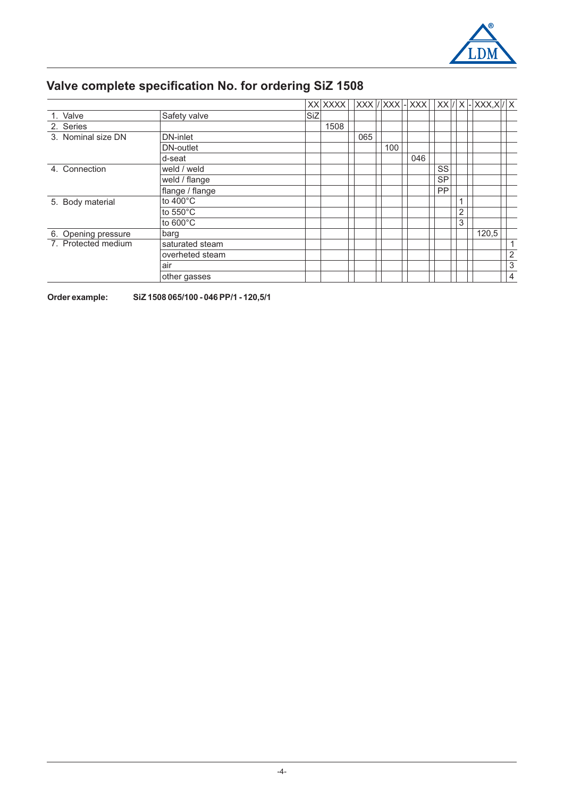

## **Valve complete specification No. for ordering SiZ 1508**

|                     |                    |            | XX XXXX |     |     | $XXX$ / $XXX$ - $XXX$ - |           |                | $ XX / X $ - $ XXX,X / X $ |                |
|---------------------|--------------------|------------|---------|-----|-----|-------------------------|-----------|----------------|----------------------------|----------------|
| 1. Valve            | Safety valve       | <b>SiZ</b> |         |     |     |                         |           |                |                            |                |
| 2. Series           |                    |            | 1508    |     |     |                         |           |                |                            |                |
| 3. Nominal size DN  | DN-inlet           |            |         | 065 |     |                         |           |                |                            |                |
|                     | DN-outlet          |            |         |     | 100 |                         |           |                |                            |                |
|                     | d-seat             |            |         |     |     | 046                     |           |                |                            |                |
| 4. Connection       | weld / weld        |            |         |     |     |                         | SS        |                |                            |                |
|                     | weld / flange      |            |         |     |     |                         | <b>SP</b> |                |                            |                |
|                     | flange / flange    |            |         |     |     |                         | PP        |                |                            |                |
| 5. Body material    | to $400^{\circ}$ C |            |         |     |     |                         |           | 1              |                            |                |
|                     | to $550^{\circ}$ C |            |         |     |     |                         |           | $\overline{2}$ |                            |                |
|                     | to $600^{\circ}$ C |            |         |     |     |                         |           | 3              |                            |                |
| 6. Opening pressure | barg               |            |         |     |     |                         |           |                | 120,5                      |                |
| 7. Protected medium | saturated steam    |            |         |     |     |                         |           |                |                            | 1              |
|                     | overheted steam    |            |         |     |     |                         |           |                |                            | $\overline{2}$ |
|                     | air                |            |         |     |     |                         |           |                |                            | 3              |
|                     | other gasses       |            |         |     |     |                         |           |                |                            | 4              |

**Order example: SiZ 1508 065/100 - 046 PP/1 - 120,5/1**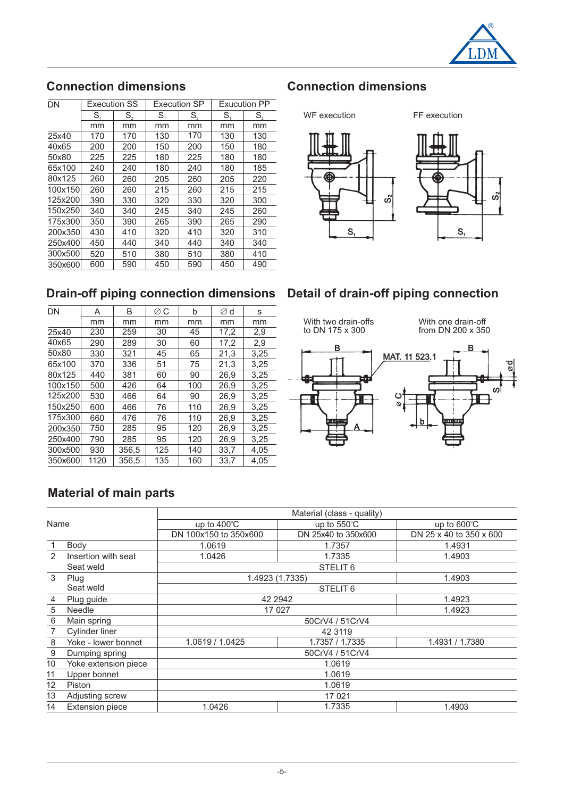

### **Connection dimensions**

| DΝ      | <b>Execution SS</b> |     |     | <b>Execution SP</b> | <b>Exucution PP</b> |     |  |
|---------|---------------------|-----|-----|---------------------|---------------------|-----|--|
|         | S.                  | S,  | S.  | S,                  | S.                  | S,  |  |
|         | mm                  | mm  | mm  | mm                  | mm                  | mm  |  |
| 25x40   | 170                 | 170 | 130 | 170                 | 130                 | 130 |  |
| 40x65   | 200                 | 200 | 150 | 200                 | 150                 | 180 |  |
| 50x80   | 225                 | 225 | 180 | 225                 | 180                 | 180 |  |
| 65x100  | 240                 | 240 | 180 | 240                 | 180                 | 185 |  |
| 80x125  | 260                 | 260 | 205 | 260                 | 205                 | 220 |  |
| 100x150 | 260                 | 260 | 215 | 260                 | 215                 | 215 |  |
| 125x200 | 390                 | 330 | 320 | 330                 | 320                 | 300 |  |
| 150x250 | 340                 | 340 | 245 | 340                 | 245                 | 260 |  |
| 175x300 | 350                 | 390 | 265 | 390                 | 265                 | 290 |  |
| 200x350 | 430                 | 410 | 320 | 410                 | 320                 | 310 |  |
| 250x400 | 450                 | 440 | 340 | 440                 | 340                 | 340 |  |
| 300x500 | 520                 | 510 | 380 | 510                 | 380                 | 410 |  |
| 350x600 | 600                 | 590 | 450 | 590                 | 450                 | 490 |  |

# **Connection dimensions**



#### **Drain-off piping connection dimensions Detail of drain-off piping connection**

| DN      | A    | B     | ØΟ  | b   | ∅d   | s    |
|---------|------|-------|-----|-----|------|------|
|         | mm   | mm    | mm  | mm  | mm   | mm   |
| 25x40   | 230  | 259   | 30  | 45  | 17,2 | 2,9  |
| 40x65   | 290  | 289   | 30  | 60  | 17,2 | 2,9  |
| 50x80   | 330  | 321   | 45  | 65  | 21,3 | 3,25 |
| 65x100  | 370  | 336   | 51  | 75  | 21,3 | 3,25 |
| 80x125  | 440  | 381   | 60  | 90  | 26,9 | 3,25 |
| 100x150 | 500  | 426   | 64  | 100 | 26,9 | 3,25 |
| 125x200 | 530  | 466   | 64  | 90  | 26,9 | 3,25 |
| 150x250 | 600  | 466   | 76  | 110 | 26,9 | 3,25 |
| 175x300 | 660  | 476   | 76  | 110 | 26.9 | 3.25 |
| 200x350 | 750  | 285   | 95  | 120 | 26,9 | 3,25 |
| 250x400 | 790  | 285   | 95  | 120 | 26,9 | 3,25 |
| 300x500 | 930  | 356,5 | 125 | 140 | 33,7 | 4,05 |
| 350x600 | 1120 | 356.5 | 135 | 160 | 33.7 | 4.05 |
|         |      |       |     |     |      |      |



#### **Material of main parts**

|                 |                        | Material (class - quality) |                       |                         |  |  |  |  |
|-----------------|------------------------|----------------------------|-----------------------|-------------------------|--|--|--|--|
| Name            |                        | up to $400^{\circ}$ C      | up to $550^{\circ}$ C | up to 600°C             |  |  |  |  |
|                 |                        | DN 100x150 to 350x600      | DN 25x40 to 350x600   | DN 25 x 40 to 350 x 600 |  |  |  |  |
| $\mathbf{1}$    | Body                   | 1.0619                     | 1.7357                | 1.4931                  |  |  |  |  |
| $\mathfrak{p}$  | Insertion with seat    | 1.0426                     | 1.7335                | 1.4903                  |  |  |  |  |
|                 | Seat weld              |                            | STELIT <sub>6</sub>   |                         |  |  |  |  |
| 3               | Plug                   | 1.4923 (1.7335)            |                       | 1.4903                  |  |  |  |  |
|                 | Seat weld              | STELIT <sub>6</sub>        |                       |                         |  |  |  |  |
| 4               | Plug guide             | 42 2942                    |                       | 1.4923                  |  |  |  |  |
| 5               | <b>Needle</b>          | 17 0 27                    |                       | 1.4923                  |  |  |  |  |
| 6               | Main spring            |                            | 50CrV4 / 51CrV4       |                         |  |  |  |  |
|                 | Cylinder liner         |                            | 42 3119               |                         |  |  |  |  |
| 8               | Yoke - lower bonnet    | 1.0619 / 1.0425            | 1.7357 / 1.7335       | 1.4931 / 1.7380         |  |  |  |  |
| $9\,$           | Dumping spring         |                            | 50CrV4 / 51CrV4       |                         |  |  |  |  |
| 10              | Yoke extension piece   | 1.0619                     |                       |                         |  |  |  |  |
| 11              | Upper bonnet           | 1.0619                     |                       |                         |  |  |  |  |
| 12 <sup>2</sup> | Piston                 | 1.0619                     |                       |                         |  |  |  |  |
| 13              | Adjusting screw        |                            | 17 0 21               |                         |  |  |  |  |
| 14              | <b>Extension piece</b> | 1.0426                     | 1.4903                |                         |  |  |  |  |
|                 |                        |                            |                       |                         |  |  |  |  |